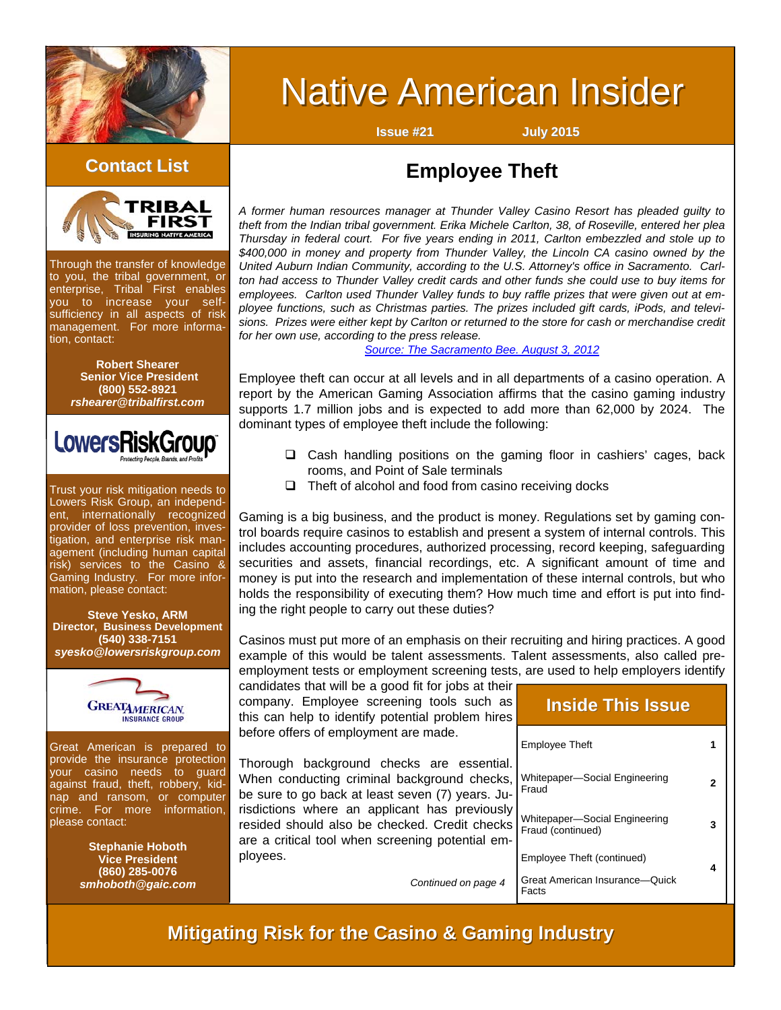

# **Native American Insider**

**Issue #21 July 2015**



Through the transfer of knowledge to you, the tribal government, or enterprise, Tribal First enables you to increase your selfsufficiency in all aspects of risk management. For more information, contact:

> **Robert Shearer Senior Vice President (800) 552-8921**  *rshearer@tribalfirst.com*



Trust your risk mitigation needs to Lowers Risk Group, an independent, internationally recognized provider of loss prevention, investigation, and enterprise risk management (including human capital risk) services to the Casino & Gaming Industry. For more information, please contact:

#### **Steve Yesko, ARM Director, Business Development (540) 338-7151**  *syesko@lowersriskgroup.com*



Great American is prepared to provide the insurance protection your casino needs to guard against fraud, theft, robbery, kidnap and ransom, or computer crime. For more information, please contact:

> **Stephanie Hoboth Vice President (860) 285-0076**  *smhoboth@gaic.com*

# **Employee Theft Contact List Contact List**

*A former human resources manager at Thunder Valley Casino Resort has pleaded guilty to theft from the Indian tribal government. Erika Michele Carlton, 38, of Roseville, entered her plea Thursday in federal court. For five years ending in 2011, Carlton embezzled and stole up to \$400,000 in money and property from Thunder Valley, the Lincoln CA casino owned by the United Auburn Indian Community, according to the U.S. Attorney's office in Sacramento. Carlton had access to Thunder Valley credit cards and other funds she could use to buy items for employees. Carlton used Thunder Valley funds to buy raffle prizes that were given out at employee functions, such as Christmas parties. The prizes included gift cards, iPods, and televisions. Prizes were either kept by Carlton or returned to the store for cash or merchandise credit for her own use, according to the press release.* 

#### *[Source: The Sacramento Bee. August 3, 2012](http://blogs.sacbee.com/crime/archives/2012/08/former-thunder-valley-employee-pleads-to-theft-from-casino.html)*

Employee theft can occur at all levels and in all departments of a casino operation. A report by the American Gaming Association affirms that the casino gaming industry supports 1.7 million jobs and is expected to add more than 62,000 by 2024. The dominant types of employee theft include the following:

- □ Cash handling positions on the gaming floor in cashiers' cages, back rooms, and Point of Sale terminals
- $\Box$  Theft of alcohol and food from casino receiving docks

Gaming is a big business, and the product is money. Regulations set by gaming control boards require casinos to establish and present a system of internal controls. This includes accounting procedures, authorized processing, record keeping, safeguarding securities and assets, financial recordings, etc. A significant amount of time and money is put into the research and implementation of these internal controls, but who holds the responsibility of executing them? How much time and effort is put into finding the right people to carry out these duties?

Casinos must put more of an emphasis on their recruiting and hiring practices. A good example of this would be talent assessments. Talent assessments, also called [pre](http://jobsearch.about.com/od/jobsearchglossary/g/employmenttest.htm)[employment tests](http://jobsearch.about.com/od/jobsearchglossary/g/employmenttest.htm) or [employment screening tests](http://jobsearch.about.com/od/careertests/a/employmenttests.htm), are used to help employers identify

*Continued on page 4* 

candidates that will be a [good fit](http://jobsearch.about.com/od/companyresearch/fl/what-is-candidate-fit.htm) for jobs at their company. Employee screening tools such as this can help to identify potential problem hires before offers of employment are made.

Thorough background checks are essential. When conducting criminal background checks, be sure to go back at least seven (7) years. Jurisdictions where an applicant has previously resided should also be checked. Credit checks are a critical tool when screening potential employees.

Employee Theft Whitepaper—Social Engineering Fraud Employee Theft (continued) Great American Insurance—Quick Facts Whitepaper—Social Engineering Fraud (continued) **1 2 3 4 Inside This Issue Inside This Issue**

# **Mitigating Risk for the Casino & Gaming Industry**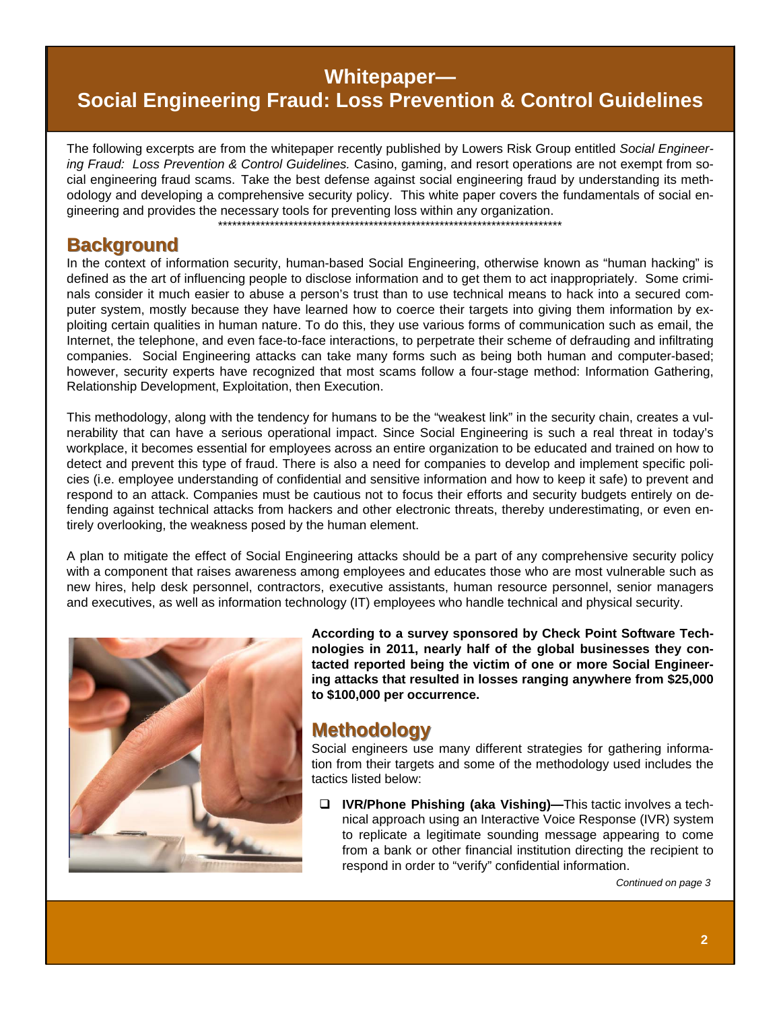# Whitepaper-

# **Social Engineering Fraud: Loss Prevention & Control Guidelines**

The following excerpts are from the whitepaper recently published by Lowers Risk Group entitled Social Engineering Fraud: Loss Prevention & Control Guidelines. Casino, gaming, and resort operations are not exempt from social engineering fraud scams. Take the best defense against social engineering fraud by understanding its methodology and developing a comprehensive security policy. This white paper covers the fundamentals of social engineering and provides the necessary tools for preventing loss within any organization.

#### **Background**

In the context of information security, human-based Social Engineering, otherwise known as "human hacking" is defined as the art of influencing people to disclose information and to get them to act inappropriately. Some criminals consider it much easier to abuse a person's trust than to use technical means to hack into a secured computer system, mostly because they have learned how to coerce their targets into giving them information by exploiting certain qualities in human nature. To do this, they use various forms of communication such as email, the Internet, the telephone, and even face-to-face interactions, to perpetrate their scheme of defrauding and infiltrating companies. Social Engineering attacks can take many forms such as being both human and computer-based; however, security experts have recognized that most scams follow a four-stage method: Information Gathering, Relationship Development, Exploitation, then Execution.

This methodology, along with the tendency for humans to be the "weakest link" in the security chain, creates a vulnerability that can have a serious operational impact. Since Social Engineering is such a real threat in today's workplace, it becomes essential for employees across an entire organization to be educated and trained on how to detect and prevent this type of fraud. There is also a need for companies to develop and implement specific policies (i.e. employee understanding of confidential and sensitive information and how to keep it safe) to prevent and respond to an attack. Companies must be cautious not to focus their efforts and security budgets entirely on defending against technical attacks from hackers and other electronic threats, thereby underestimating, or even entirely overlooking, the weakness posed by the human element.

A plan to mitigate the effect of Social Engineering attacks should be a part of any comprehensive security policy with a component that raises awareness among employees and educates those who are most vulnerable such as new hires, help desk personnel, contractors, executive assistants, human resource personnel, senior managers and executives, as well as information technology (IT) employees who handle technical and physical security.



According to a survey sponsored by Check Point Software Technologies in 2011, nearly half of the global businesses they contacted reported being the victim of one or more Social Engineering attacks that resulted in losses ranging anywhere from \$25,000 to \$100,000 per occurrence.

### **Methodology**

Social engineers use many different strategies for gathering information from their targets and some of the methodology used includes the tactics listed below:

 $\Box$  IVR/Phone Phishing (aka Vishing)—This tactic involves a technical approach using an Interactive Voice Response (IVR) system to replicate a legitimate sounding message appearing to come from a bank or other financial institution directing the recipient to respond in order to "verify" confidential information.

Continued on page 3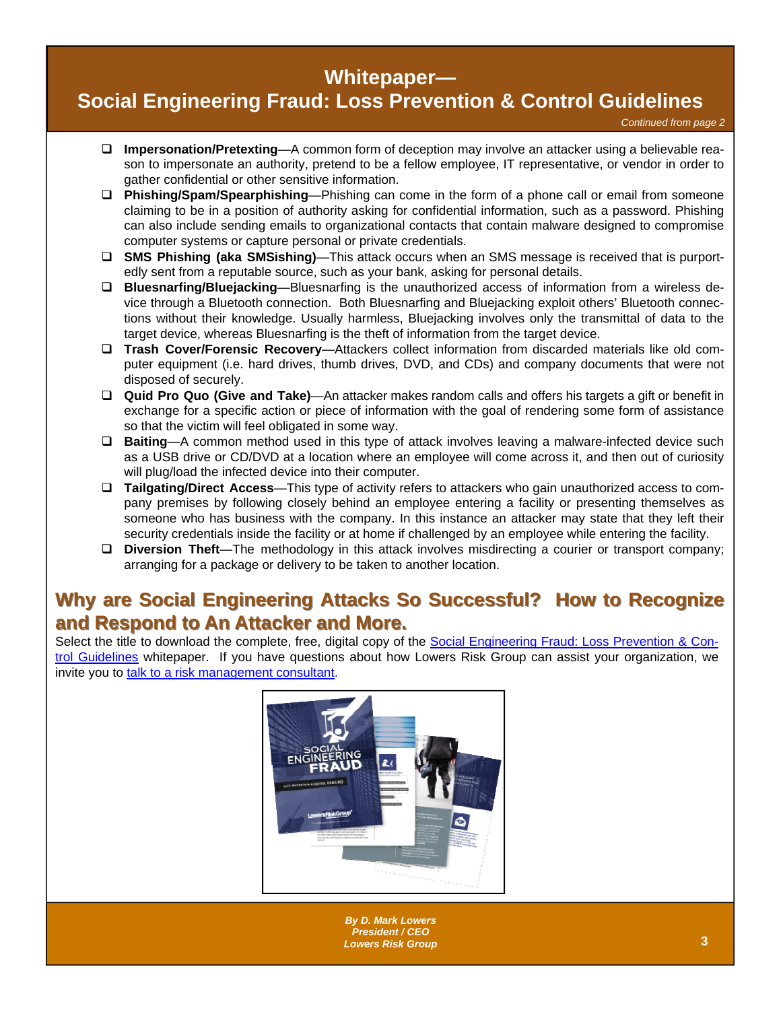# **Whitepaper—**

# **[Social Engineering Fraud: Loss Prevention & Control Guidelines](http://www.lowersriskgroup.com/lp/social-engineering-fraud)**

*Continued from page 2* 

- **Impersonation/Pretexting**—A common form of deception may involve an attacker using a believable reason to impersonate an authority, pretend to be a fellow employee, IT representative, or vendor in order to gather confidential or other sensitive information.
- **Phishing/Spam/Spearphishing**—Phishing can come in the form of a phone call or email from someone claiming to be in a position of authority asking for confidential information, such as a password. Phishing can also include sending emails to organizational contacts that contain malware designed to compromise computer systems or capture personal or private credentials.
- **SMS Phishing (aka SMSishing)**—This attack occurs when an SMS message is received that is purportedly sent from a reputable source, such as your bank, asking for personal details.
- **Bluesnarfing/Bluejacking**—Bluesnarfing is the unauthorized access of information from a wireless device through a Bluetooth connection. Both Bluesnarfing and Bluejacking exploit others' Bluetooth connections without their knowledge. Usually harmless, Bluejacking involves only the transmittal of data to the target device, whereas Bluesnarfing is the theft of information from the target device.
- **Trash Cover/Forensic Recovery**—Attackers collect information from discarded materials like old computer equipment (i.e. hard drives, thumb drives, DVD, and CDs) and company documents that were not disposed of securely.
- **Quid Pro Quo (Give and Take)**—An attacker makes random calls and offers his targets a gift or benefit in exchange for a specific action or piece of information with the goal of rendering some form of assistance so that the victim will feel obligated in some way.
- **Baiting**—A common method used in this type of attack involves leaving a malware-infected device such as a USB drive or CD/DVD at a location where an employee will come across it, and then out of curiosity will plug/load the infected device into their computer.
- **Tailgating/Direct Access**—This type of activity refers to attackers who gain unauthorized access to company premises by following closely behind an employee entering a facility or presenting themselves as someone who has business with the company. In this instance an attacker may state that they left their security credentials inside the facility or at home if challenged by an employee while entering the facility.
- **Diversion Theft**—The methodology in this attack involves misdirecting a courier or transport company; arranging for a package or delivery to be taken to another location.

# **Why are Social Engineering Attacks So Successful? How to Recognize and Respond to An Attacker and More. and Respond to An Attacker and More.**

Select the title to download the complete, free, digital copy of the [Social Engineering Fraud: Loss Prevention & Con](http://www.lowersriskgroup.com/lp/social-engineering-fraud)[trol Guidelines](http://www.lowersriskgroup.com/lp/social-engineering-fraud) whitepaper. If you have questions about how Lowers Risk Group can assist your organization, we invite you to [talk to a risk management consultant](http://www.lowersriskgroup.com/contact/request-meeting.php).



 **<sup>3</sup>** *By D. Mark Lowers President / [CEO](http://www.lowersriskgroup.com/news/index.php?id=11) Lowers Risk Group*